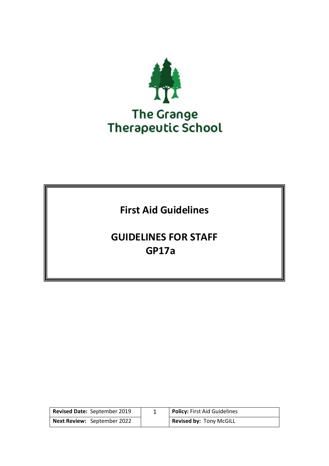

# **First Aid Guidelines**

# **GUIDELINES FOR STAFF GP17a**

| Revised Date: September 2019       | <b>Policy: First Aid Guidelines</b> |
|------------------------------------|-------------------------------------|
| <b>Next Review: September 2022</b> | <b>Revised by: Tony McGiLL</b>      |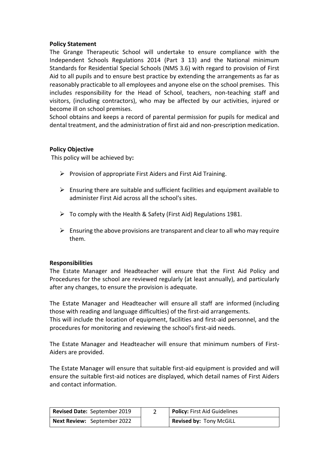#### **Policy Statement**

The Grange Therapeutic School will undertake to ensure compliance with the Independent Schools Regulations 2014 (Part 3 13) and the National minimum Standards for Residential Special Schools (NMS 3.6) with regard to provision of First Aid to all pupils and to ensure best practice by extending the arrangements as far as reasonably practicable to all employees and anyone else on the school premises. This includes responsibility for the Head of School, teachers, non-teaching staff and visitors, (including contractors), who may be affected by our activities, injured or become ill on school premises.

School obtains and keeps a record of parental permission for pupils for medical and dental treatment, and the administration of first aid and non-prescription medication.

#### **Policy Objective**

This policy will be achieved by**:**

- $\triangleright$  Provision of appropriate First Aiders and First Aid Training.
- $\triangleright$  Ensuring there are suitable and sufficient facilities and equipment available to administer First Aid across all the school's sites.
- $\triangleright$  To comply with the Health & Safety (First Aid) Regulations 1981.
- $\triangleright$  Ensuring the above provisions are transparent and clear to all who may require them.

#### **Responsibilities**

The Estate Manager and Headteacher will ensure that the First Aid Policy and Procedures for the school are reviewed regularly (at least annually), and particularly after any changes, to ensure the provision is adequate.

The Estate Manager and Headteacher will ensure all staff are informed (including those with reading and language difficulties) of the first-aid arrangements.

This will include the location of equipment, facilities and first-aid personnel, and the procedures for monitoring and reviewing the school's first-aid needs.

The Estate Manager and Headteacher will ensure that minimum numbers of First-Aiders are provided.

The Estate Manager will ensure that suitable first-aid equipment is provided and will ensure the suitable first-aid notices are displayed, which detail names of First Aiders and contact information.

| Revised Date: September 2019       | <b>Policy: First Aid Guidelines</b> |
|------------------------------------|-------------------------------------|
| <b>Next Review:</b> September 2022 | Revised by: Tony McGiLL             |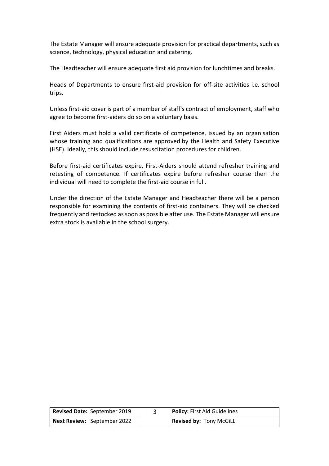The Estate Manager will ensure adequate provision for practical departments, such as science, technology, physical education and catering.

The Headteacher will ensure adequate first aid provision for lunchtimes and breaks.

Heads of Departments to ensure first-aid provision for off-site activities i.e. school trips.

Unless first-aid cover is part of a member of staff's contract of employment, staff who agree to become first-aiders do so on a voluntary basis.

First Aiders must hold a valid certificate of competence, issued by an organisation whose training and qualifications are approved by the Health and Safety Executive (HSE). Ideally, this should include resuscitation procedures for children.

Before first-aid certificates expire, First-Aiders should attend refresher training and retesting of competence. If certificates expire before refresher course then the individual will need to complete the first-aid course in full.

Under the direction of the Estate Manager and Headteacher there will be a person responsible for examining the contents of first-aid containers. They will be checked frequently and restocked as soon as possible after use. The Estate Manager will ensure extra stock is available in the school surgery.

| Revised Date: September 2019       | Policy: First Aid Guidelines   |
|------------------------------------|--------------------------------|
| <b>Next Review: September 2022</b> | <b>Revised by: Tony McGiLL</b> |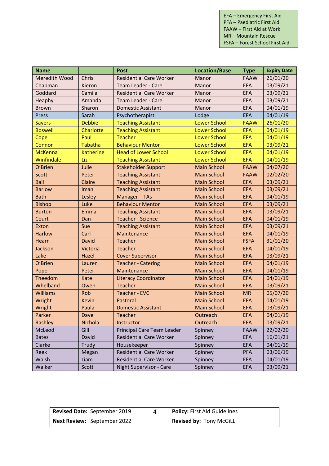EFA – Emergency First Aid PFA – Paediatric First Aid FAAW – First Aid at Work MR – Mountain Rescue FSFA – Forest School First Aid

| <b>Name</b>     |                  | <b>Post</b>                    | <b>Location/Base</b> | <b>Type</b> | <b>Expiry Date</b> |
|-----------------|------------------|--------------------------------|----------------------|-------------|--------------------|
| Meredith Wood   | Chris            | <b>Residential Care Worker</b> | Manor                | <b>FAAW</b> | 26/01/20           |
| Chapman         | Kieron           | Team Leader - Care             | Manor                | <b>EFA</b>  | 03/09/21           |
| Goddard         | Camila           | <b>Residential Care Worker</b> | Manor                | <b>EFA</b>  | 03/09/21           |
| Heaphy          | Amanda           | Team Leader - Care             | Manor                | <b>EFA</b>  | 03/09/21           |
| <b>Brown</b>    | Sharon           | <b>Domestic Assistant</b>      | Manor                | <b>EFA</b>  | 04/01/19           |
| Press           | Sarah            | Psychotherapist                | Lodge                | <b>EFA</b>  | 04/01/19           |
| <b>Sayers</b>   | <b>Debbie</b>    | <b>Teaching Assistant</b>      | <b>Lower School</b>  | <b>FAAW</b> | 26/01/20           |
| <b>Boswell</b>  | Charlotte        | <b>Teaching Assistant</b>      | <b>Lower School</b>  | <b>EFA</b>  | 04/01/19           |
| Cope            | Paul             | <b>Teacher</b>                 | <b>Lower School</b>  | <b>EFA</b>  | 04/01/19           |
| Connor          | <b>Tabatha</b>   | <b>Behaviour Mentor</b>        | <b>Lower School</b>  | <b>EFA</b>  | 03/09/21           |
| <b>McKenna</b>  | <b>Katherine</b> | <b>Head of Lower School</b>    | <b>Lower School</b>  | <b>EFA</b>  | 04/01/19           |
| Winfindale      | Liz              | <b>Teaching Assistant</b>      | <b>Lower School</b>  | <b>EFA</b>  | 04/01/19           |
| O'Brien         | Julie            | <b>Stakeholder Support</b>     | <b>Main School</b>   | <b>FAAW</b> | 04/07/20           |
| <b>Scott</b>    | Peter            | <b>Teaching Assistant</b>      | <b>Main School</b>   | <b>FAAW</b> | 02/02/20           |
| <b>Ball</b>     | Claire           | <b>Teaching Assistant</b>      | <b>Main School</b>   | <b>EFA</b>  | 03/09/21           |
| <b>Barlow</b>   | Iman             | <b>Teaching Assistant</b>      | <b>Main School</b>   | <b>EFA</b>  | 03/09/21           |
| <b>Bath</b>     | Lesley           | Manager-TAs                    | <b>Main School</b>   | <b>EFA</b>  | 04/01/19           |
| <b>Bishop</b>   | Luke             | <b>Behaviour Mentor</b>        | <b>Main School</b>   | <b>EFA</b>  | 03/09/21           |
| <b>Burton</b>   | Emma             | <b>Teaching Assistant</b>      | <b>Main School</b>   | <b>EFA</b>  | 03/09/21           |
| Court           | Dan              | <b>Teacher - Science</b>       | <b>Main School</b>   | <b>EFA</b>  | 04/01/19           |
| Exton           | Sue              | <b>Teaching Assistant</b>      | <b>Main School</b>   | <b>EFA</b>  | 03/09/21           |
| <b>Harlow</b>   | Carl             | Maintenance                    | <b>Main School</b>   | <b>EFA</b>  | 04/01/19           |
| Hearn           | David            | <b>Teacher</b>                 | <b>Main School</b>   | <b>FSFA</b> | 31/01/20           |
| Jackson         | Victoria         | <b>Teacher</b>                 | <b>Main School</b>   | <b>EFA</b>  | 04/01/19           |
| Lake            | Hazel            | <b>Cover Supervisor</b>        | <b>Main School</b>   | <b>EFA</b>  | 03/09/21           |
| O'Brien         | Lauren           | <b>Teacher - Catering</b>      | <b>Main School</b>   | <b>EFA</b>  | 04/01/19           |
| Pope            | Peter            | Maintenance                    | <b>Main School</b>   | <b>EFA</b>  | 04/01/19           |
| Theedom         | Kate             | <b>Literacy Coordinator</b>    | <b>Main School</b>   | <b>EFA</b>  | 04/01/19           |
| Whelband        | Owen             | <b>Teacher</b>                 | <b>Main School</b>   | <b>EFA</b>  | 03/09/21           |
| <b>Williams</b> | Rob              | <b>Teacher - EVC</b>           | <b>Main School</b>   | <b>MR</b>   | 05/07/20           |
| Wright          | Kevin            | Pastoral                       | <b>Main School</b>   | <b>EFA</b>  | 04/01/19           |
| Wright          | Paula            | <b>Domestic Assistant</b>      | <b>Main School</b>   | <b>EFA</b>  | 03/09/21           |
| Parker          | Dave             | Teacher                        | Outreach             | <b>EFA</b>  | 04/01/19           |
| Rashley         | Nichola          | Instructor                     | Outreach             | <b>EFA</b>  | 03/09/21           |
| McLeod          | Gill             | Principal Care Team Leader     | Spinney              | <b>FAAW</b> | 22/02/20           |
| <b>Bates</b>    | David            | <b>Residential Care Worker</b> | Spinney              | <b>EFA</b>  | 16/01/21           |
| Clarke          | Trudy            | Housekeeper                    | Spinney              | EFA         | 04/01/19           |
| Reek            | Megan            | <b>Residential Care Worker</b> | Spinney              | PFA         | 03/06/19           |
| Walsh           | Liam             | <b>Residential Care Worker</b> | Spinney              | <b>EFA</b>  | 04/01/19           |
| Walker          | Scott            | Night Supervisor - Care        | Spinney              | EFA         | 03/09/21           |

| <b>Revised Date: September 2019</b> | <b>Policy: First Aid Guidelines</b> |
|-------------------------------------|-------------------------------------|
| <b>Next Review:</b> September 2022  | <b>Revised by: Tony McGiLL</b>      |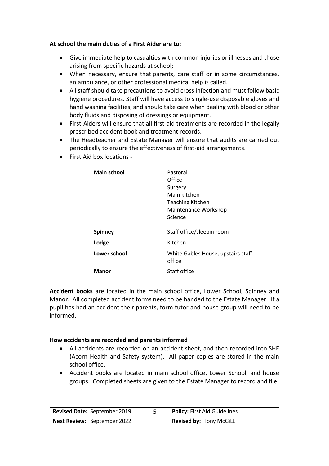#### **At school the main duties of a First Aider are to:**

- Give immediate help to casualties with common injuries or illnesses and those arising from specific hazards at school;
- When necessary, ensure that parents, care staff or in some circumstances, an ambulance, or other professional medical help is called.
- All staff should take precautions to avoid cross infection and must follow basic hygiene procedures. Staff will have access to single-use disposable gloves and hand washing facilities, and should take care when dealing with blood or other body fluids and disposing of dressings or equipment.
- First-Aiders will ensure that all first-aid treatments are recorded in the legally prescribed accident book and treatment records.
- The Headteacher and Estate Manager will ensure that audits are carried out periodically to ensure the effectiveness of first-aid arrangements.
- First Aid box locations -

| <b>Main school</b> | Pastoral                                     |
|--------------------|----------------------------------------------|
|                    | Office                                       |
|                    | Surgery                                      |
|                    | Main kitchen                                 |
|                    | <b>Teaching Kitchen</b>                      |
|                    | Maintenance Workshop                         |
|                    | Science                                      |
|                    |                                              |
| <b>Spinney</b>     | Staff office/sleepin room                    |
| Lodge              | Kitchen                                      |
| Lower school       | White Gables House, upstairs staff<br>office |
| Manor              | Staff office                                 |
|                    |                                              |

**Accident books** are located in the main school office, Lower School, Spinney and Manor. All completed accident forms need to be handed to the Estate Manager. If a pupil has had an accident their parents, form tutor and house group will need to be informed.

#### **How accidents are recorded and parents informed**

- All accidents are recorded on an accident sheet, and then recorded into SHE (Acorn Health and Safety system). All paper copies are stored in the main school office.
- Accident books are located in main school office, Lower School, and house groups. Completed sheets are given to the Estate Manager to record and file.

| Revised Date: September 2019       | <b>Policy: First Aid Guidelines</b> |
|------------------------------------|-------------------------------------|
| <b>Next Review:</b> September 2022 | <b>Revised by: Tony McGiLL</b>      |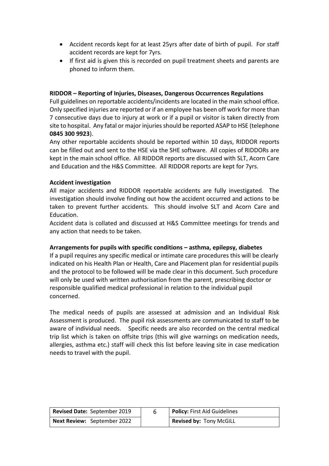- Accident records kept for at least 25yrs after date of birth of pupil. For staff accident records are kept for 7yrs.
- If first aid is given this is recorded on pupil treatment sheets and parents are phoned to inform them.

#### **RIDDOR – Reporting of Injuries, Diseases, Dangerous Occurrences Regulations**

Full guidelines on reportable accidents/incidents are located in the main school office. Only specified injuries are reported or if an employee has been off work for more than 7 consecutive days due to injury at work or if a pupil or visitor is taken directly from site to hospital. Any fatal or major injuries should be reported ASAP to HSE (telephone **0845 300 9923**).

Any other reportable accidents should be reported within 10 days, RIDDOR reports can be filled out and sent to the HSE via the SHE software. All copies of RIDDORs are kept in the main school office. All RIDDOR reports are discussed with SLT, Acorn Care and Education and the H&S Committee. All RIDDOR reports are kept for 7yrs.

#### **Accident investigation**

All major accidents and RIDDOR reportable accidents are fully investigated. The investigation should involve finding out how the accident occurred and actions to be taken to prevent further accidents. This should involve SLT and Acorn Care and Education.

Accident data is collated and discussed at H&S Committee meetings for trends and any action that needs to be taken.

#### **Arrangements for pupils with specific conditions – asthma, epilepsy, diabetes**

If a pupil requires any specific medical or intimate care procedures this will be clearly indicated on his Health Plan or Health, Care and Placement plan for residential pupils and the protocol to be followed will be made clear in this document. Such procedure will only be used with written authorisation from the parent, prescribing doctor or responsible qualified medical professional in relation to the individual pupil concerned.

The medical needs of pupils are assessed at admission and an Individual Risk Assessment is produced. The pupil risk assessments are communicated to staff to be aware of individual needs. Specific needs are also recorded on the central medical trip list which is taken on offsite trips (this will give warnings on medication needs, allergies, asthma etc.) staff will check this list before leaving site in case medication needs to travel with the pupil.

| <b>Revised Date: September 2019</b> | Policy: First Aid Guidelines   |
|-------------------------------------|--------------------------------|
| <b>Next Review: September 2022</b>  | <b>Revised by: Tony McGiLL</b> |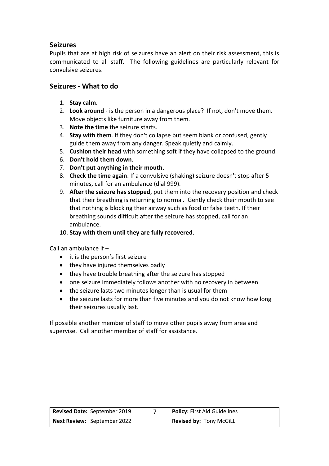## **Seizures**

Pupils that are at high risk of seizures have an alert on their risk assessment, this is communicated to all staff. The following guidelines are particularly relevant for convulsive seizures.

## **Seizures - What to do**

- 1. **Stay calm**.
- 2. **Look around** is the person in a dangerous place? If not, don't move them. Move objects like furniture away from them.
- 3. **Note the time** the seizure starts.
- 4. **Stay with them**. If they don't collapse but seem blank or confused, gently guide them away from any danger. Speak quietly and calmly.
- 5. **Cushion their head** with something soft if they have collapsed to the ground.
- 6. **Don't hold them down**.
- 7. **Don't put anything in their mouth**.
- 8. **Check the time again**. If a convulsive (shaking) seizure doesn't stop after 5 minutes, call for an ambulance (dial 999).
- 9. **After the seizure has stopped**, put them into the recovery position and check that their breathing is returning to normal. Gently check their mouth to see that nothing is blocking their airway such as food or false teeth. If their breathing sounds difficult after the seizure has stopped, call for an ambulance.
- 10. **Stay with them until they are fully recovered**.

Call an ambulance if –

- it is the person's first seizure
- they have injured themselves badly
- they have trouble breathing after the seizure has stopped
- one seizure immediately follows another with no recovery in between
- the seizure lasts two minutes longer than is usual for them
- the seizure lasts for more than five minutes and you do not know how long their seizures usually last.

If possible another member of staff to move other pupils away from area and supervise. Call another member of staff for assistance.

| <b>Revised Date: September 2019</b> | Policy: First Aid Guidelines |
|-------------------------------------|------------------------------|
| <b>Next Review:</b> September 2022  | Revised by: Tony McGiLL      |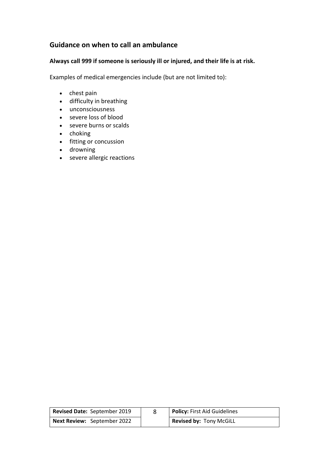# **Guidance on when to call an ambulance**

#### **Always call 999 if someone is seriously ill or injured, and their life is at risk.**

Examples of medical emergencies include (but are not limited to):

- $\bullet$  chest pain
- difficulty in breathing
- unconsciousness
- severe loss of blood
- severe burns or scalds
- $\bullet$  choking
- fitting or concussion
- drowning
- severe allergic reactions

| Revised Date: September 2019       | Policy: First Aid Guidelines   |
|------------------------------------|--------------------------------|
| <b>Next Review:</b> September 2022 | <b>Revised by: Tony McGiLL</b> |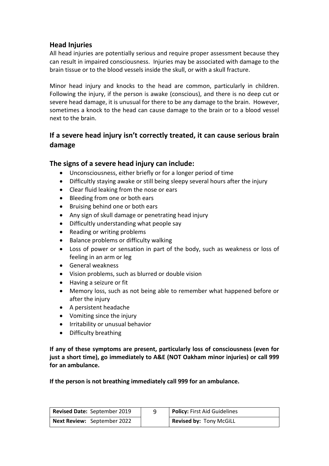## **Head Injuries**

All head injuries are potentially serious and require proper assessment because they can result in impaired consciousness. Injuries may be associated with damage to the brain tissue or to the blood vessels inside the skull, or with a skull fracture.

Minor head injury and knocks to the head are common, particularly in children. Following the injury, if the person is awake (conscious), and there is no deep cut or severe head damage, it is unusual for there to be any damage to the brain. However, sometimes a knock to the head can cause damage to the brain or to a blood vessel next to the brain.

# **If a severe head injury isn't correctly treated, it can cause serious brain damage**

## **The signs of a severe head injury can include:**

- Unconsciousness, either briefly or for a longer period of time
- Difficultly staying awake or still being sleepy several hours after the injury
- Clear fluid leaking from the nose or ears
- Bleeding from one or both ears
- Bruising behind one or both ears
- Any sign of skull damage or penetrating head injury
- Difficultly understanding what people say
- Reading or writing problems
- Balance problems or difficulty walking
- Loss of power or sensation in part of the body, such as weakness or loss of feeling in an arm or leg
- General weakness
- Vision problems, such as blurred or double vision
- Having a seizure or fit
- Memory loss, such as not being able to remember what happened before or after the injury
- A persistent headache
- Vomiting since the injury
- **•** Irritability or unusual behavior
- Difficulty breathing

**If any of these symptoms are present, particularly loss of consciousness (even for just a short time), go immediately to A&E (NOT Oakham minor injuries) or call 999 for an ambulance.**

**If the person is not breathing immediately call 999 for an ambulance.**

| Revised Date: September 2019       | Policy: First Aid Guidelines   |
|------------------------------------|--------------------------------|
| <b>Next Review:</b> September 2022 | <b>Revised by: Tony McGiLL</b> |